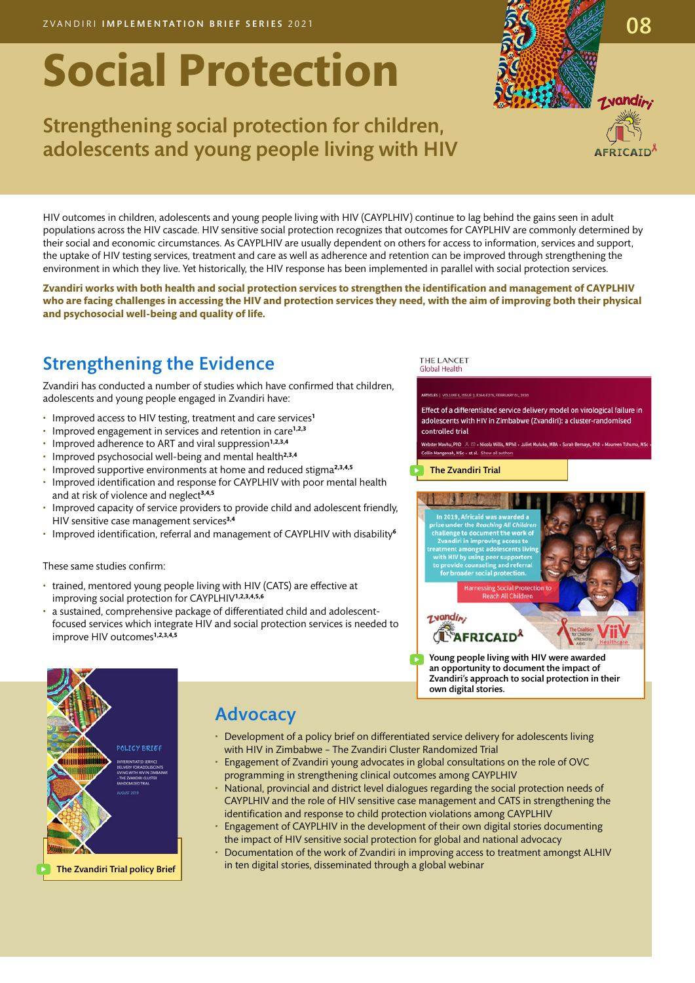# **Social Protection**

# Strengthening social protection for children, adolescents and young people living with HIV

HIV outcomes in children, adolescents and young people living with HIV (CAYPLHIV) continue to lag behind the gains seen in adult populations across the HIV cascade. HIV sensitive social protection recognizes that outcomes for CAYPLHIV are commonly determined by their social and economic circumstances. As CAYPLHIV are usually dependent on others for access to information, services and support, the uptake of HIV testing services, treatment and care as well as adherence and retention can be improved through strengthening the environment in which they live. Yet historically, the HIV response has been implemented in parallel with social protection services.

**Zvandiri works with both health and social protection services to strengthen the identification and management of CAYPLHIV who are facing challenges in accessing the HIV and protection services they need, with the aim of improving both their physical and psychosocial well-being and quality of life.** 

# Strengthening the Evidence

Zvandiri has conducted a number of studies which have confirmed that children, adolescents and young people engaged in Zvandiri have:

- Improved access to HIV testing, treatment and care services**<sup>1</sup>**
- Improved engagement in services and retention in care**1,2,3**
- Improved adherence to ART and viral suppression**1,2,3,4**
- Improved psychosocial well-being and mental health**2,3,4**
- Improved supportive environments at home and reduced stigma**2,3,4,5**
- Improved identification and response for CAYPLHIV with poor mental health and at risk of violence and neglect**3,4,5**
- Improved capacity of service providers to provide child and adolescent friendly, HIV sensitive case management services**3,4**
- Improved identification, referral and management of CAYPLHIV with disability**<sup>6</sup>**

These same studies confirm:

- trained, mentored young people living with HIV (CATS) are effective at improving social protection for CAYPLHIV**1,2,3,4,5,6**
- a sustained, comprehensive package of differentiated child and adolescentfocused services which integrate HIV and social protection services is needed to improve HIV outcomes**1,2,3,4,5**

#### THE LANCET Global Health

Effect of a differentiated service delivery model on virological failure in adolescents with HIV in Zimbabwe (Zvandiri): a cluster-randomised controlled trial

iah, MSc + et al. Show all au

[The Zvandiri Trial](https://www.thelancet.com/pdfs/journals/langlo/PIIS2214-109X(19)30526-1.pdf)



an opportunity to document the impact of [Zvandiri's approach to social protection in their](https://childrenandhiv.org/blog/conversation-africaid-award-winning-social-protection-project-zimbabwe/)  own digital stories.



### **Advocacy**

- Development of a policy brief on differentiated service delivery for adolescents living with HIV in Zimbabwe – The Zvandiri Cluster Randomized Trial
- Engagement of Zvandiri young advocates in global consultations on the role of OVC programming in strengthening clinical outcomes among CAYPLHIV
- National, provincial and district level dialogues regarding the social protection needs of CAYPLHIV and the role of HIV sensitive case management and CATS in strengthening the identification and response to child protection violations among CAYPLHIV
- Engagement of CAYPLHIV in the development of their own digital stories documenting the impact of HIV sensitive social protection for global and national advocacy
- Documentation of the work of Zvandiri in improving access to treatment amongst ALHIV in ten digital stories, disseminated through a global webinar

08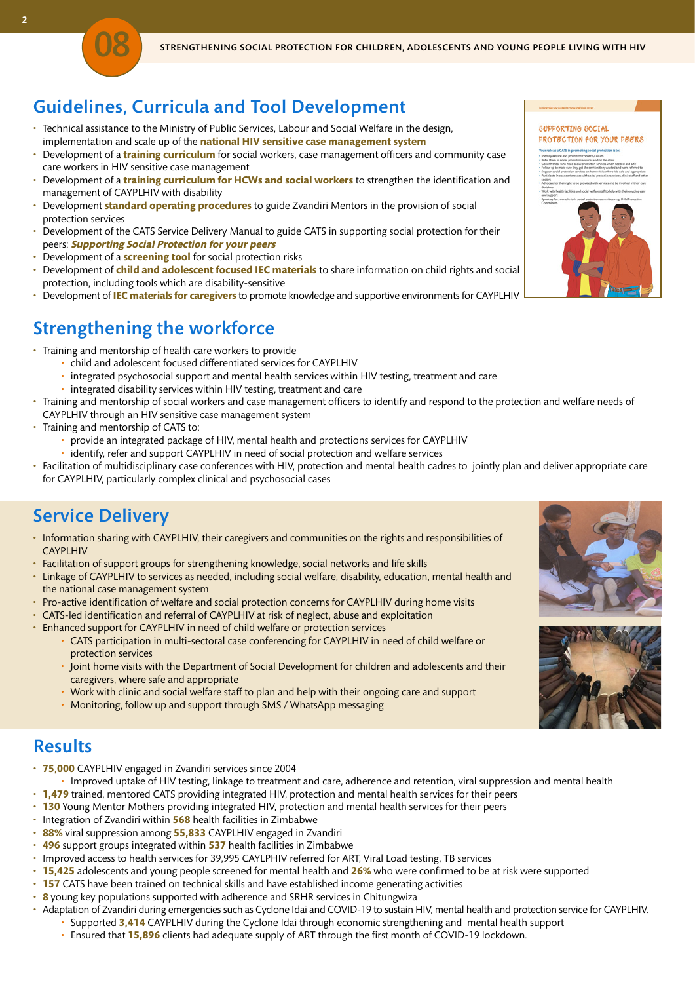# Guidelines, Curricula and Tool Development

- Technical assistance to the Ministry of Public Services, Labour and Social Welfare in the design, implementation and scale up of the **national HIV sensitive case management system**
- Development of a **training curriculum** for social workers, case management officers and community case care workers in HIV sensitive case management
- Development of a **training curriculum for HCWs and social workers** to strengthen the identification and management of CAYPLHIV with disability
- Development **standard operating procedures** to guide Zvandiri Mentors in the provision of social protection services
- Development of the CATS Service Delivery Manual to guide CATS in supporting social protection for their peers: **Supporting Social Protection for your peers**
- Development of a **screening tool** for social protection risks
- Development of **child and adolescent focused IEC materials** to share information on child rights and social protection, including tools which are disability-sensitive
- Development of **IEC materials for caregivers** to promote knowledge and supportive environments for CAYPLHIV

# Strengthening the workforce

- Training and mentorship of health care workers to provide
	- child and adolescent focused differentiated services for CAYPLHIV
	- integrated psychosocial support and mental health services within HIV testing, treatment and care
	- integrated disability services within HIV testing, treatment and care
- Training and mentorship of social workers and case management officers to identify and respond to the protection and welfare needs of CAYPLHIV through an HIV sensitive case management system
- Training and mentorship of CATS to:

08

- provide an integrated package of HIV, mental health and protections services for CAYPLHIV
- identify, refer and support CAYPLHIV in need of social protection and welfare services
- Facilitation of multidisciplinary case conferences with HIV, protection and mental health cadres to jointly plan and deliver appropriate care for CAYPLHIV, particularly complex clinical and psychosocial cases

### Service Delivery

- Information sharing with CAYPLHIV, their caregivers and communities on the rights and responsibilities of **CAYPLHIV**
- Facilitation of support groups for strengthening knowledge, social networks and life skills
- Linkage of CAYPLHIV to services as needed, including social welfare, disability, education, mental health and the national case management system
- Pro-active identification of welfare and social protection concerns for CAYPLHIV during home visits
- CATS-led identification and referral of CAYPLHIV at risk of neglect, abuse and exploitation
- Enhanced support for CAYPLHIV in need of child welfare or protection services
	- CATS participation in multi-sectoral case conferencing for CAYPLHIV in need of child welfare or protection services
	- Joint home visits with the Department of Social Development for children and adolescents and their caregivers, where safe and appropriate
	- Work with clinic and social welfare staff to plan and help with their ongoing care and support
	- Monitoring, follow up and support through SMS / WhatsApp messaging

#### **Results**

- **75,000** CAYPLHIV engaged in Zvandiri services since 2004
- Improved uptake of HIV testing, linkage to treatment and care, adherence and retention, viral suppression and mental health
- **1,479** trained, mentored CATS providing integrated HIV, protection and mental health services for their peers
- **130** Young Mentor Mothers providing integrated HIV, protection and mental health services for their peers
- Integration of Zvandiri within **568** health facilities in Zimbabwe
- **88%** viral suppression among **55,833** CAYPLHIV engaged in Zvandiri
- **496** support groups integrated within **537** health facilities in Zimbabwe
- Improved access to health services for 39,995 CAYLPHIV referred for ART, Viral Load testing, TB services
- **15,425** adolescents and young people screened for mental health and **26%** who were confirmed to be at risk were supported
- **157** CATS have been trained on technical skills and have established income generating activities
- **8** young key populations supported with adherence and SRHR services in Chitungwiza
- Adaptation of Zvandiri during emergencies such as Cyclone Idai and COVID-19 to sustain HIV, mental health and protection service for CAYPLHIV.
	- Supported **3,414** CAYPLHIV during the Cyclone Idai through economic strengthening and mental health support
	- Ensured that **15,896** clients had adequate supply of ART through the first month of COVID-19 lockdown.

#### SUPPORTING SOCIAL

#### PROTECTION FOR YOUR PEERS



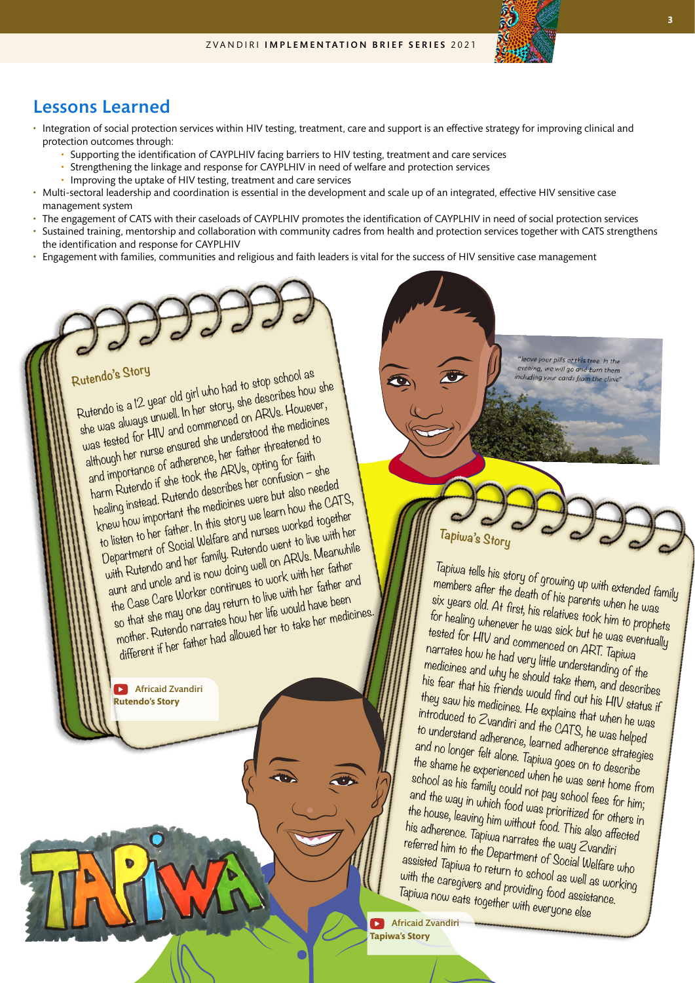#### Lessons Learned

- Integration of social protection services within HIV testing, treatment, care and support is an effective strategy for improving clinical and protection outcomes through:
	- Supporting the identification of CAYPLHIV facing barriers to HIV testing, treatment and care services
	- Strengthening the linkage and response for CAYPLHIV in need of welfare and protection services
	- Improving the uptake of HIV testing, treatment and care services
- Multi-sectoral leadership and coordination is essential in the development and scale up of an integrated, effective HIV sensitive case management system
- The engagement of CATS with their caseloads of CAYPLHIV promotes the identification of CAYPLHIV in need of social protection services
- Sustained training, mentorship and collaboration with community cadres from health and protection services together with CATS strengthens the identification and response for CAYPLHIV
- Engagement with families, communities and religious and faith leaders is vital for the success of HIV sensitive case management

**Rutendo's Story**  Rutendo is a 12 year old girl who had to stop school as she was always unwell. In her story, she describes how she was tested for HIV and commenced on ARVs. However, although her nurse ensured she understood the medicines and importance of adherence, her father threatened to harm Rutendo if she took the ARVs, opting for faith healing instead. Rutendo describes her confusion – she knew how important the medicines were but also needed to listen to her father. In this story we learn how the CATS, Department of Social Welfare and nurses worked together with Rutendo and her family. Rutendo went to live with her aunt and uncle and is now doing well on ARVs. Meanwhile the Case Care Worker continues to work with her father so that she may one day return to live with her father and mother. Rutendo narrates how her life would have been different if her father had allowed her to take her medicines.

> **Rutendo's Story** [Africaid Zvandiri](https://www.youtube.com/watch?v=stOkwEt8l04&t=100s)

 $a.$  we will go a

**Tapiwa's Story**

Tapiwa tells his story of growing up with extended family members after the death of his parents when he was six years old. At first, his relatives took him to prophets for healing whenever he was sick but he was eventually tested for HIV and commenced on ART. Tapiwa narrates how he had very little understanding of the medicines and why he should take them, and describes his fear that his friends would find out his HIV status if they saw his medicines. He explains that when he was introduced to Zvandiri and the CATS, he was helped to understand adherence, learned adherence strategies and no longer felt alone. Tapiwa goes on to describe the shame he experienced when he was sent home from school as his family could not pay school fees for him; and the way in which food was prioritized for others in the house, leaving him without  $\ddot$  food. This also affected his adherence. Tapiwa narrates the way Zvandiri referred him to the Department of Social Welfare who assisted Tapiwa to return to school as well as working with the caregivers and providing food assistance. Tapiwa now eats together with everyone else

**Tapiwa's Story** Africaid Zvandiri